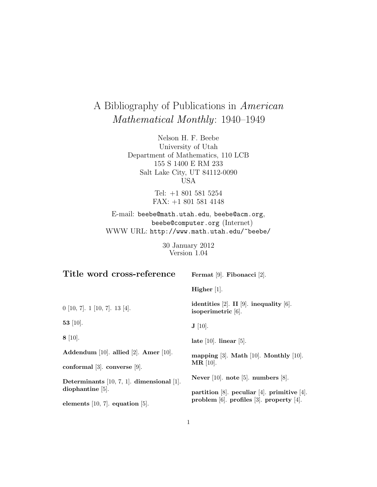# A Bibliography of Publications in American Mathematical Monthly: 1940–1949

Nelson H. F. Beebe University of Utah Department of Mathematics, 110 LCB 155 S 1400 E RM 233 Salt Lake City, UT 84112-0090 USA

> Tel: +1 801 581 5254 FAX: +1 801 581 4148

E-mail: beebe@math.utah.edu, beebe@acm.org, beebe@computer.org (Internet) WWW URL: http://www.math.utah.edu/~beebe/

> 30 January 2012 Version 1.04

| Title word cross-reference                      | Fermat [9]. Fibonacci [2].                                       |
|-------------------------------------------------|------------------------------------------------------------------|
|                                                 | Higher $[1]$ .                                                   |
| $0$ [10, 7]. 1 [10, 7]. 13 [4].                 | identities [2]. II [9]. inequality [6].<br>isoperimetric $[6]$ . |
| 53 [10].                                        | $\mathbf{J}$ [10].                                               |
| $8 \; [10]$ .                                   | late $[10]$ . linear $[5]$ .                                     |
| Addendum [10]. allied [2]. Amer [10].           | mapping $[3]$ . Math $[10]$ . Monthly $[10]$ .                   |
| conformal $[3]$ . converse $[9]$ .              | $MR$ [10].                                                       |
| Determinants $[10, 7, 1]$ . dimensional $[1]$ . | Never [10]. note [5]. numbers [8].                               |
| $d$ iophantine $ 5 $ .                          | partition [8]. peculiar [4]. primitive [4].                      |
| elements $[10, 7]$ . equation $[5]$ .           | problem [6]. profiles [3]. property [4].                         |